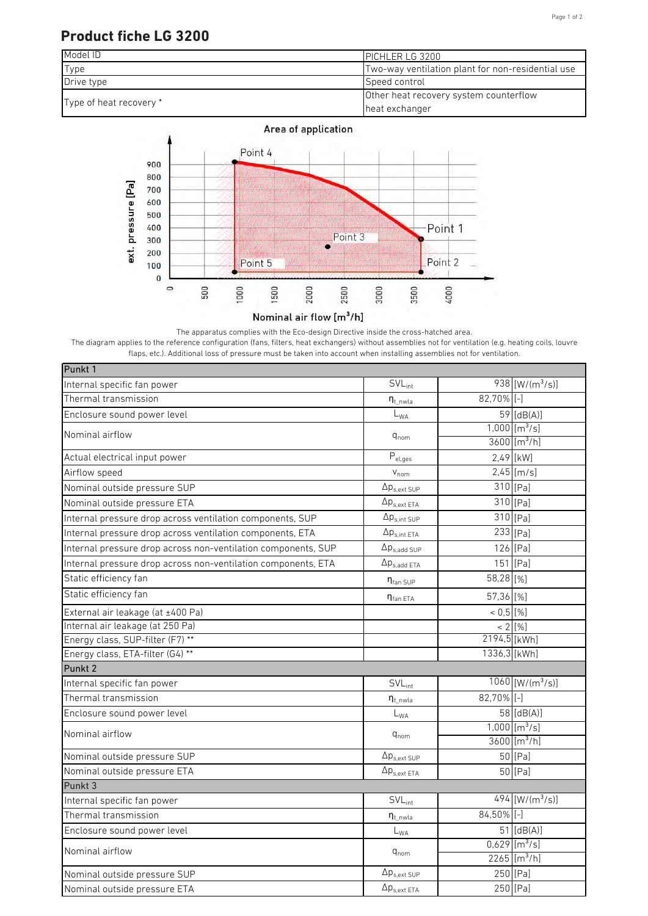#### Page 1 of 2

## **Product fiche LG 3200**



#### Area of application



The apparatus complies with the Eco-design Directive inside the cross-hatched area. The diagram applies to the reference configuration (fans, filters, heat exchangers) without assemblies not for ventilation (e.g. heating coils, louvre flaps, etc.). Additional loss of pressure must be taken into account when installing assemblies not for ventilation.

| Punkt 1                                                       |                              |                |                                |
|---------------------------------------------------------------|------------------------------|----------------|--------------------------------|
| Internal specific fan power                                   | $\overline{SVL}_{int}$       |                | 938 [ $W/(m^3/s)$ ]            |
| Thermal transmission                                          | $n_{t}$ nwla                 | 82,70% [-]     |                                |
| Enclosure sound power level                                   | $\mathsf{L}_{\mathsf{WA}}$   |                | 59 [dB(A)]                     |
| Nominal airflow                                               | $q_{nom}$                    |                | $1,000$ [m <sup>3</sup> /s]    |
|                                                               |                              |                | $3600$ [m <sup>3</sup> /h]     |
| Actual electrical input power                                 | $\mathsf{P}_{\text{el,ges}}$ |                | 2,49 [kW]                      |
| Airflow speed                                                 | $V_{nom}$                    |                | $2,45$ [m/s]                   |
| Nominal outside pressure SUP                                  | $\Delta p_{s,ext SUP}$       |                | $310$ [Pa]                     |
| Nominal outside pressure ETA                                  | $\Delta p_{s,ext ETA}$       |                | $310$ [Pa]                     |
| Internal pressure drop across ventilation components, SUP     | $\Delta p_{s,int\;SUP}$      |                | 310 [Pa]                       |
| Internal pressure drop across ventilation components, ETA     | $\Delta p_{s,int\;ETA}$      |                | $233$ [Pa]                     |
| Internal pressure drop across non-ventilation components, SUP | $\Delta p_{s,add~SUP}$       |                | 126 [Pa]                       |
| Internal pressure drop across non-ventilation components, ETA | $\Delta p_{s,add ETA}$       |                | $151$ [Pa]                     |
| Static efficiency fan                                         | $\eta_{\text{fan SUP}}$      | 58,28 [%]      |                                |
| Static efficiency fan                                         | $\eta_{\text{fan ETA}}$      | 57,36 [%]      |                                |
| External air leakage (at ±400 Pa)                             |                              | $< 0.5$ [%]    |                                |
| Internal air leakage (at 250 Pa)                              |                              |                | $< 2$ [%]                      |
| Energy class, SUP-filter (F7) **                              |                              | $2194,5$ [kWh] |                                |
| Energy class, ETA-filter (G4) **                              |                              | 1336,3 [kWh]   |                                |
| Punkt 2                                                       |                              |                |                                |
| Internal specific fan power                                   | $SVL_{int}$                  |                | $1060$ [W/(m <sup>3</sup> /s)] |
| Thermal transmission                                          | $n_{t}$ nwla                 | $82,70\%$ [-]  |                                |
| Enclosure sound power level                                   | $L_{WA}$                     |                | $58$ [dB(A)]                   |
| Nominal airflow                                               |                              |                | $1,000$ [m <sup>3</sup> /s]    |
| $q_{nom}$                                                     |                              |                | $3600$ [m <sup>3</sup> /h]     |
| Nominal outside pressure SUP                                  | $\Delta p_{s,ext\,SUP}$      |                | $50$ <sup>[Pa]</sup>           |
| Nominal outside pressure ETA                                  | $\Delta p_{s.ext ETA}$       |                | $50$ <sup>[Pa]</sup>           |
| Punkt 3                                                       |                              |                |                                |
| Internal specific fan power                                   | SVL <sub>int</sub>           |                | $494$ [W/(m <sup>3</sup> /s)]  |
| Thermal transmission                                          | $\eta_{t\_nwla}$             | $84,50\%$ [-]  |                                |
| Enclosure sound power level                                   | $\mathsf{L}_{\mathsf{WA}}$   |                | 51 [dB(A)]                     |
| Nominal airflow                                               | $q_{nom}$                    |                | $0,629$ [m <sup>3</sup> /s]    |
|                                                               |                              |                | $2265$ [m <sup>3</sup> /h]     |
| Nominal outside pressure SUP                                  | $\Delta p_{s,ext\,SUP}$      |                | 250 [Pa]                       |
| Nominal outside pressure ETA                                  | $\Delta p_{s,ext\ ETA}$      |                | 250 [Pa]                       |